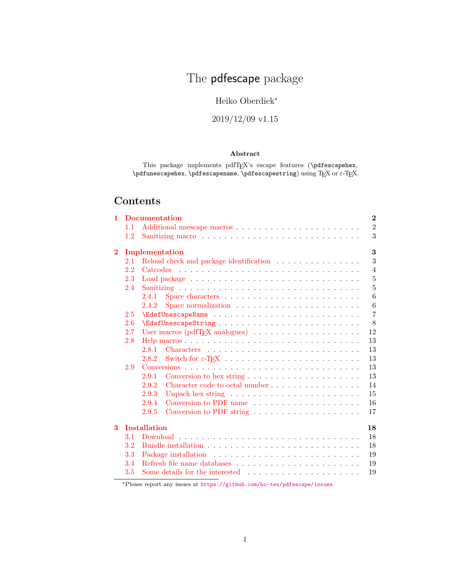# The **pdfescape** package

# Heiko Oberdiek<sup>∗</sup>

# 2019/12/09 v1.15

# Abstract

This package implements pdfTEX's escape features (\pdfescapehex, \pdfunescapehex, \pdfescapename, \pdfescapestring) using T<sub>E</sub>X or  $\varepsilon$ -T<sub>E</sub>X.

# Contents

| $\mathbf{1}$ |         | <b>Documentation</b>                                                                    | $\bf{2}$       |
|--------------|---------|-----------------------------------------------------------------------------------------|----------------|
|              | 1.1     |                                                                                         | $\sqrt{2}$     |
|              | $1.2\,$ |                                                                                         | 3              |
| $\bf{2}$     |         | Implementation                                                                          | 3              |
|              | 2.1     |                                                                                         | 3              |
|              | 2.2     |                                                                                         | $\overline{4}$ |
|              | 2.3     |                                                                                         | $\overline{5}$ |
|              | 2.4     |                                                                                         | 5              |
|              |         | 2.4.1                                                                                   | 6              |
|              |         | Space normalization $\ldots \ldots \ldots \ldots \ldots \ldots \ldots$<br>2.4.2         | 6              |
|              | 2.5     |                                                                                         | $\overline{7}$ |
|              | 2.6     |                                                                                         | 8              |
|              | 2.7     | User macros (pdfT <sub>F</sub> X analogues) $\ldots \ldots \ldots \ldots \ldots \ldots$ | 12             |
|              | 2.8     |                                                                                         | 13             |
|              |         | 2.8.1                                                                                   | 13             |
|              |         | 2.8.2                                                                                   | 13             |
|              | 2.9     |                                                                                         | 13             |
|              |         | 2.9.1<br>Conversion to hex string $\ldots \ldots \ldots \ldots \ldots \ldots$           | 13             |
|              |         | 2.9.2                                                                                   | 14             |
|              |         | 2.9.3                                                                                   | 15             |
|              |         | 2.9.4<br>Conversion to PDF name                                                         | 16             |
|              |         | 2.9.5<br>Conversion to PDF string                                                       | 17             |
| 3            |         | <b>Installation</b>                                                                     | 18             |
|              | 3.1     |                                                                                         | 18             |
|              | 3.2     |                                                                                         | 18             |
|              | 3.3     |                                                                                         | 19             |
|              | 3.4     |                                                                                         | 19             |
|              | 3.5     |                                                                                         | 19             |

<sup>∗</sup>Please report any issues at <https://github.com/ho-tex/pdfescape/issues>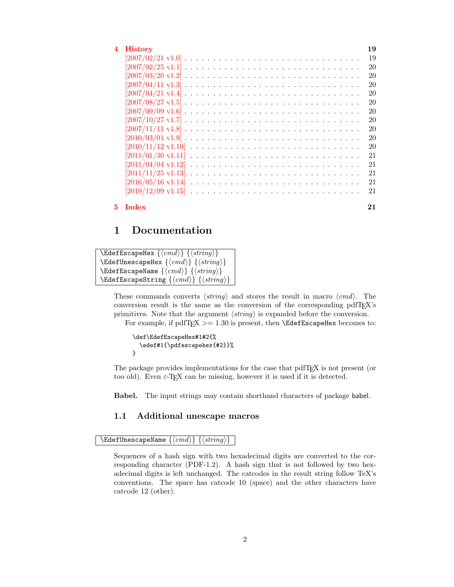| 4 History                                                                                                              | 19 |
|------------------------------------------------------------------------------------------------------------------------|----|
|                                                                                                                        | 19 |
|                                                                                                                        | 20 |
| $[2007/03/20 \text{ v}1.2] \ldots \ldots \ldots \ldots \ldots \ldots \ldots \ldots \ldots \ldots \ldots \ldots$        | 20 |
| $[2007/04/11 \text{ v}1.3] \ldots \ldots \ldots \ldots \ldots \ldots \ldots \ldots \ldots \ldots \ldots$               | 20 |
| $[2007/04/21 \text{ v}1.4] \ldots \ldots \ldots \ldots \ldots \ldots \ldots \ldots \ldots \ldots \ldots$               | 20 |
| $[2007/08/27 \text{ v}1.5] \ldots \ldots \ldots \ldots \ldots \ldots \ldots \ldots \ldots \ldots \ldots \ldots$        | 20 |
| $[2007/09/09 \text{ v}1.6] \ldots \ldots \ldots \ldots \ldots \ldots \ldots \ldots \ldots \ldots \ldots \ldots \ldots$ | 20 |
|                                                                                                                        | 20 |
|                                                                                                                        | 20 |
|                                                                                                                        | 20 |
| $[2010/11/12 \text{ v}1.10]$                                                                                           | 20 |
| $[2011/01/30 \text{ v}1.11]$                                                                                           | 21 |
| $[2011/04/04 \text{ v}1.12]$                                                                                           | 21 |
| $[2011/11/25 \text{ v}1.13]$                                                                                           | 21 |
|                                                                                                                        | 21 |
|                                                                                                                        | 21 |
|                                                                                                                        |    |

#### [5 Index](#page-20-5) 21

# <span id="page-1-0"></span>1 Documentation

```
\{ \mathsf{EdegreeHex} \} \{ \langle string \rangle \}\text{EdefUnescapeHex } \langle \langle \mathit{cmd} \rangle \}\{ \langle cmd \rangle \} {\langle string \rangle}
\texttt{\char'4}\mathsf{EdefEscapeString}\left\{\langle cmd\rangle\right\} \left\{\langle \textit{string}\rangle\right\}
```
These commands converts  $\langle string \rangle$  and stores the result in macro  $\langle cmd \rangle$ . The conversion result is the same as the conversion of the corresponding pdfTEX's primitives. Note that the argument  $\langle string \rangle$  is expanded before the conversion. For example, if pdfT<sub>F</sub>X  $> = 1.30$  is present, then **\EdefEscapeHex** becomes to:

```
\def\EdefEscapeHex#1#2{%
  \edef#1{\pdfescapehex{#2}}%
}
```
The package provides implementations for the case that pdfT<sub>E</sub>X is not present (or too old). Even  $\varepsilon$ -T<sub>E</sub>X can be missing, however it is used if it is detected.

Babel. The input strings may contain shorthand characters of package babel.

# <span id="page-1-1"></span>1.1 Additional unescape macros

<span id="page-1-3"></span> $\{EdefUnescapeName \}\{ \langle cmd \rangle \} \}$ 

Sequences of a hash sign with two hexadecimal digits are converted to the corresponding character (PDF-1.2). A hash sign that is not followed by two hexadecimal digits is left unchanged. The catcodes in the result string follow TeX's conventions. The space has catcode 10 (space) and the other characters have catcode 12 (other).

2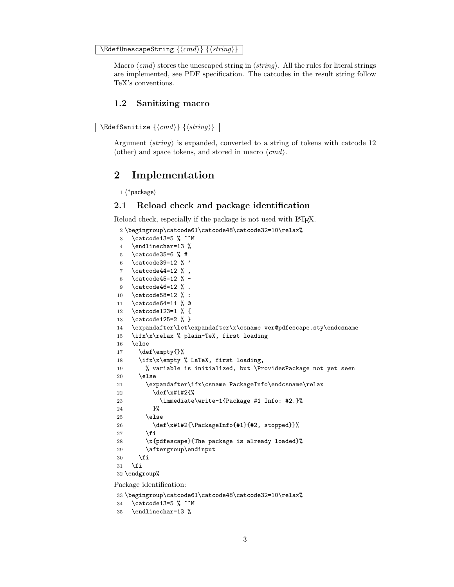<span id="page-2-20"></span> $\{ \langle cmd \rangle \}$   $\{ \langle string \rangle \}$ 

Macro  $\langle cmd \rangle$  stores the unescaped string in  $\langle string \rangle$ . All the rules for literal strings are implemented, see PDF specification. The catcodes in the result string follow TeX's conventions.

### <span id="page-2-0"></span>1.2 Sanitizing macro

```
\text{NEdefSanitize } \{\langle cmd \rangle\} \{\langle string \rangle\}
```
Argument  $\langle string \rangle$  is expanded, converted to a string of tokens with catcode 12 (other) and space tokens, and stored in macro  $\langle cmd\rangle$ .

# <span id="page-2-1"></span>2 Implementation

 $1$   $\langle$ \*package $\rangle$ 

# <span id="page-2-2"></span>2.1 Reload check and package identification

Reload check, especially if the package is not used with LAT<sub>EX</sub>.

```
2 \begingroup\catcode61\catcode48\catcode32=10\relax%
 3 \catcode13=5 \% ^^M
 4 \endlinechar=13 %
 5 \catcode35=6 % #
 6 \catcode39=12 \frac{9}{12} \frac{1}{2}7 \catcode44=12 % ,
 8 \catcode45=12 % -
 9 \catcode46=12 % .
10 \catcode58=12 % :
11 \catcode64=11 % @
12 \catcode123=1 % {
13 \catcode125=2 % }
14 \expandafter\let\expandafter\x\csname ver@pdfescape.sty\endcsname
15 \ifx\x\relax % plain-TeX, first loading
16 \else
17 \def\emptyset18 \ifx\x\empty % LaTeX, first loading,
19 % variable is initialized, but \ProvidesPackage not yet seen
20 \else
21 \expandafter\ifx\csname PackageInfo\endcsname\relax
22 \det\left\{ \pm 1 \pm 2 \frac{3}{8} \right\}23 \immediate\write-1{Package #1 Info: #2.}%
24 }%
25 \else
26 \def\x#1#2{\PackageInfo{#1}{#2, stopped}}%
27 \fi
28 \x{pdfescape}{The package is already loaded}%
29 \aftergroup\endinput
30 \foralli
31 \fi
32 \endgroup%
Package identification:
```

```
33 \begingroup\catcode61\catcode48\catcode32=10\relax%
34 \catcode13=5 % ^^M
35 \endlinechar=13 %
```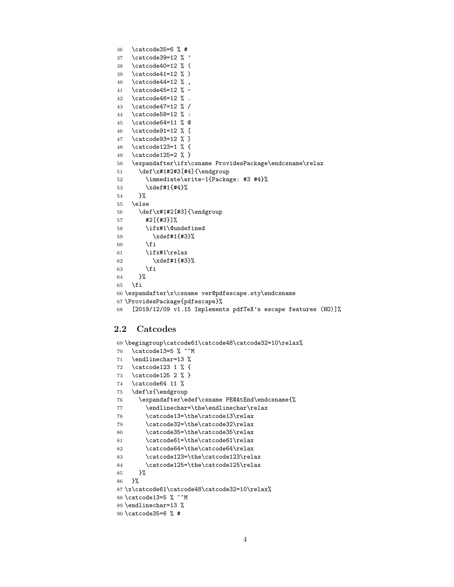<span id="page-3-40"></span><span id="page-3-38"></span><span id="page-3-31"></span><span id="page-3-15"></span><span id="page-3-14"></span><span id="page-3-13"></span><span id="page-3-12"></span><span id="page-3-11"></span><span id="page-3-10"></span><span id="page-3-9"></span><span id="page-3-8"></span><span id="page-3-7"></span><span id="page-3-6"></span><span id="page-3-5"></span><span id="page-3-4"></span><span id="page-3-3"></span><span id="page-3-2"></span> \catcode35=6 % # \catcode39=12 % ' \catcode40=12 % ( \catcode41=12 % ) 40 \catcode44=12  $\%$ , \catcode45=12 % - \catcode46=12 % . \catcode47=12 % / \catcode58=12 % : \catcode64=11 % @ \catcode91=12 % [ \catcode93=12 % ] \catcode123=1 % { \catcode125=2 % } \expandafter\ifx\csname ProvidesPackage\endcsname\relax 51 \def\x#1#2#3[#4]{\endgroup \immediate\write-1{Package: #3 #4}% \xdef#1{#4}% }% \else \def\x#1#2[#3]{\endgroup #2[{#3}]% \ifx#1\@undefined \xdef#1{#3}%  $60 \overline{\text{f}i}$  $\iint x #1\relax$  \xdef#1{#3}%  $63 \overline{\phantom{a}}$  \fi }%  $\setminus$ fi \expandafter\x\csname ver@pdfescape.sty\endcsname \ProvidesPackage{pdfescape}% [2019/12/09 v1.15 Implements pdfTeX's escape features (HO)]%

# <span id="page-3-41"></span><span id="page-3-39"></span><span id="page-3-37"></span><span id="page-3-32"></span><span id="page-3-1"></span><span id="page-3-0"></span>2.2 Catcodes

```
69 \begingroup\catcode61\catcode48\catcode32=10\relax%
70 \catcode13=5 % ^^M
71 \endlinechar=13 %
72 \catcode123 1 % {
73 \catcode125 2 % }
74 \catcode64 11 %
75 \def\x{\endgroup
76 \expandafter\edef\csname PE@AtEnd\endcsname{%
77 \endlinechar=\the\endlinechar\relax
78 \catcode13=\the\catcode13\relax
79 \catcode32=\the\catcode32\relax
80 \catcode35=\the\catcode35\relax
81 \catcode61=\the\catcode61\relax
82 \catcode64=\the\catcode64\relax
83 \catcode123=\the\catcode123\relax
84 \catcode125=\the\catcode125\relax
85 }%
86 }%
87 \x\catcode61\catcode48\catcode32=10\relax%
88 \catcode13=5 % ^^M
89 \endlinechar=13 %
90 \catcode35=6 % #
```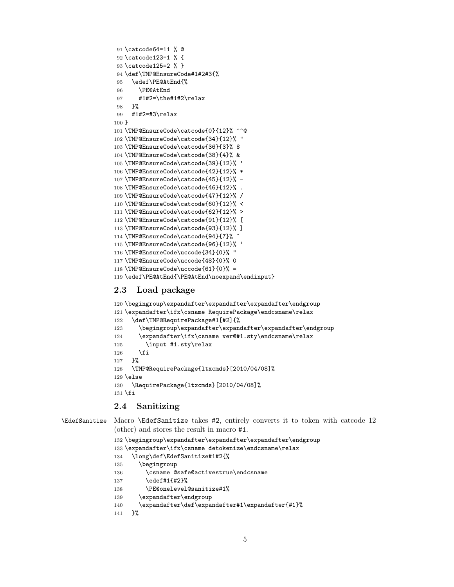```
91 \catcode64=11 % @
92 \catcode123=1 % {
93 \catcode125=2 % }
94 \def\TMP@EnsureCode#1#2#3{%
95 \edef\PE@AtEnd{%
96 \PE@AtEnd
97 #1#2=\the#1#2\relax
98 }%
99 #1#2=#3\relax
100 }
101 \TMP@EnsureCode\catcode{0}{12}% ^^@
102 \TMP@EnsureCode\catcode{34}{12}% "
103 \TMP@EnsureCode\catcode{36}{3}% $
104 \TMP@EnsureCode\catcode{38}{4}% &
105 \TMP@EnsureCode\catcode{39}{12}% '
106 \TMP@EnsureCode\catcode{42}{12}% *
107 \TMP@EnsureCode\catcode{45}{12}% -
108 \TMP@EnsureCode\catcode{46}{12}% .
109 \TMP@EnsureCode\catcode{47}{12}% /
110 \TMP@EnsureCode\catcode{60}{12}% <
111 \TMP@EnsureCode\catcode{62}{12}% >
112 \TMP@EnsureCode\catcode{91}{12}% [
113 \TMP@EnsureCode\catcode{93}{12}% ]
114 \TMP@EnsureCode\catcode{94}{7}% ^
115 \TMP@EnsureCode\catcode{96}{12}% '
116 \TMP@EnsureCode\uccode{34}{0}% "
117 \TMP@EnsureCode\uccode{48}{0}% 0
118 \TMP@EnsureCode\uccode{61}{0}% =
119 \edef\PE@AtEnd{\PE@AtEnd\noexpand\endinput}
```
# <span id="page-4-35"></span><span id="page-4-34"></span><span id="page-4-33"></span><span id="page-4-25"></span><span id="page-4-19"></span><span id="page-4-18"></span><span id="page-4-17"></span><span id="page-4-16"></span><span id="page-4-15"></span><span id="page-4-14"></span><span id="page-4-13"></span><span id="page-4-12"></span><span id="page-4-11"></span><span id="page-4-10"></span><span id="page-4-0"></span>2.3 Load package

```
120 \begingroup\expandafter\expandafter\expandafter\endgroup
121 \expandafter\ifx\csname RequirePackage\endcsname\relax
122 \def\TMP@RequirePackage#1[#2]{%
123 \begingroup\expandafter\expandafter\expandafter\endgroup
124 \expandafter\ifx\csname ver@#1.sty\endcsname\relax
125 \input #1.sty\relax
126 \fi
127 \frac{1}{6}128 \TMP@RequirePackage{ltxcmds}[2010/04/08]%
129 \else
130 \RequirePackage{ltxcmds}[2010/04/08]%
131 \fi
```
# <span id="page-4-37"></span><span id="page-4-30"></span><span id="page-4-1"></span>2.4 Sanitizing

```
\EdefSanitize Macro \EdefSanitize takes #2, entirely converts it to token with catcode 12
```

```
(other) and stores the result in macro #1.
132 \begingroup\expandafter\expandafter\expandafter\endgroup
```

```
133 \expandafter\ifx\csname detokenize\endcsname\relax
134 \long\def\EdefSanitize#1#2{%
135 \begingroup
136 \csname @safe@activestrue\endcsname
137 \edef#1{#2}%
138 \PE@onelevel@sanitize#1%
139 \expandafter\endgroup
140 \expandafter\def\expandafter#1\expandafter{#1}%
```

```
141 }%
```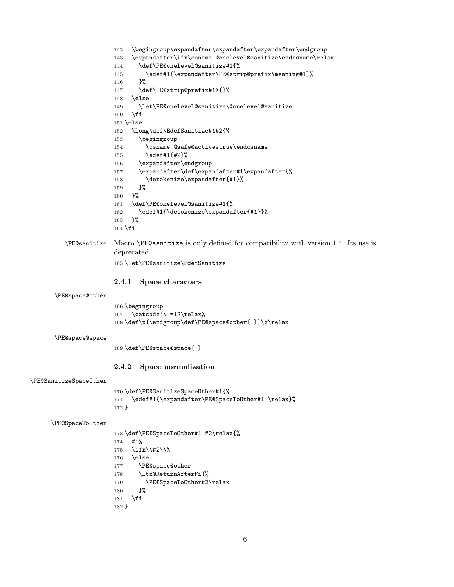```
142 \begingroup\expandafter\expandafter\expandafter\endgroup
                       143 \expandafter\ifx\csname @onelevel@sanitize\endcsname\relax
                       144 \def\PE@onelevel@sanitize#1{%
                       145 \edef#1{\expandafter\PE@strip@prefix\meaning#1}%
                       146 }%
                       147 \def\PE@strip@prefix#1>{}%
                       148 \else
                       149 \let\PE@onelevel@sanitize\@onelevel@sanitize
                       150 \fi
                       151 \else
                       152 \long\def\EdefSanitize#1#2{%
                       153 \begingroup
                       154 \csname @safe@activestrue\endcsname
                       155 \edef#1{#2}%
                       156 \expandafter\endgroup
                       157 \expandafter\def\expandafter#1\expandafter{%
                       158 \detokenize\expandafter{#1}%
                       159 }%
                       160 }%
                       161 \def\PE@onelevel@sanitize#1{%
                       162 \edef#1{\detokenize\expandafter{#1}}%
                       163 }%
                       164 \fi
         \PE@sanitize Macro \PE@sanitize is only defined for compatibility with version 1.4. Its use is
                       deprecated.
                       165 \let\PE@sanitize\EdefSanitize
                       2.4.1 Space characters
      \PE@space@other
                       166 \begingroup
                       167 \catcode'\ =12\relax%
                       168 \def\x{\endgroup\def\PE@space@other{ }}\x\relax
      \PE@space@space
                       169 \def\PE@space@space{ }
                       2.4.2 Space normalization
\PE@SanitizeSpaceOther
                       170 \def\PE@SanitizeSpaceOther#1{%
                       171 \edef#1{\expandafter\PE@SpaceToOther#1 \relax}%
                       172 }
     \PE@SpaceToOther
                       173 \def\PE@SpaceToOther#1 #2\relax{%
                       174 #1%
                       175 \ifx\\#2\\%
                       176 \else
                       177 \PE@space@other
                       178 \ltx@ReturnAfterFi{%
                       179 \PE@SpaceToOther#2\relax
                       180 }%
                      181 \fi
                       182 }
```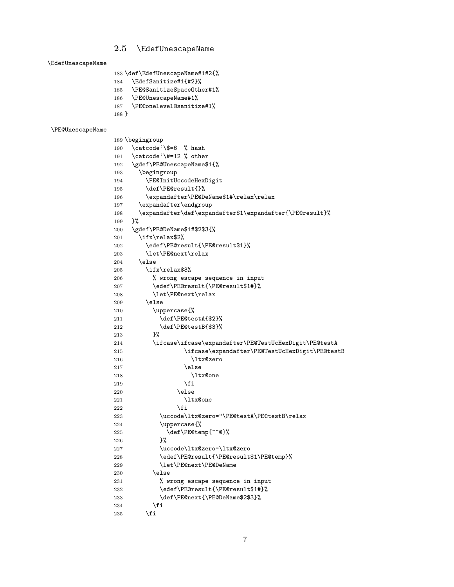#### <span id="page-6-0"></span>2.5 \EdefUnescapeName

<span id="page-6-4"></span>\EdefUnescapeName

<span id="page-6-3"></span> \def\EdefUnescapeName#1#2{% \EdefSanitize#1{#2}% \PE@SanitizeSpaceOther#1% \PE@UnescapeName#1%

<span id="page-6-33"></span><span id="page-6-29"></span><span id="page-6-22"></span>187 \PE@onelevel@sanitize#1%

```
188 }
```
#### <span id="page-6-34"></span>\PE@UnescapeName

```
189 \begingroup
190 \catcode'\$=6 % hash
191 \catcode'\#=12 % other
192 \gdef\PE@UnescapeName$1{%
193 \begingroup
194 \PE@InitUccodeHexDigit
195 \def\PE@result{}%
196 \expandafter\PE@DeName$1#\relax\relax
197 \expandafter\endgroup
198 \expandafter\def\expandafter$1\expandafter{\PE@result}%
199 }%
200 \gdef\PE@DeName$1#$2$3{%
201 \ifx\relax$2%
202 \edef\PE@result{\PE@result$1}%
203 \let\PE@next\relax
204 \else
205 \ifx\relax$3%
206 % wrong escape sequence in input
207 \edef\PE@result{\PE@result$1#}%
208 \let\PE@next\relax
209 \else
210 \uppercase{%
211 \def\PE@testA{$2}%
212 \def\PE@testB{$3}%
213 }%
214 \ifcase\ifcase\expandafter\PE@TestUcHexDigit\PE@testA
215 \ifcase\expandafter\PE@TestUcHexDigit\PE@testB
216 \ltx@zero
217 \else
218 \ltx@one
219 \qquad \qquad \int f220 \qquad \text{lelex}221 \ltx@one
222 \fi
223 \uccode\ltx@zero="\PE@testA\PE@testB\relax
224 \uppercase{%
225 \def\PE@temp{^^@}%
226 }%
227 \uccode\ltx@zero=\ltx@zero
228 \edef\PE@result{\PE@result$1\PE@temp}%
229 \let\PE@next\PE@DeName
230 \else
231 % wrong escape sequence in input
232 \edef\PE@result{\PE@result$1#}%
233 \def\PE@next{\PE@DeName$2$3}%
234 \overrightarrow{f}235 \setminusfi
```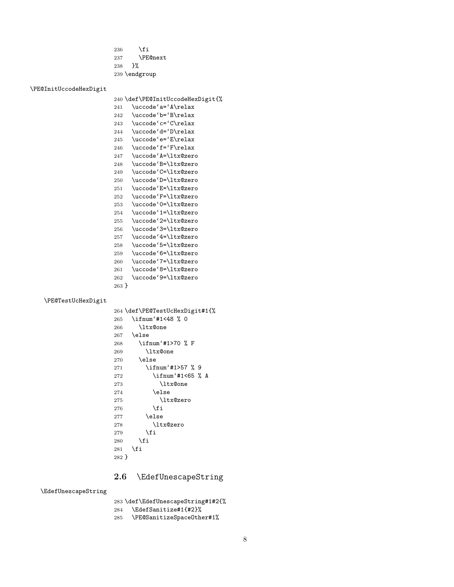<span id="page-7-29"></span>236  $\setminus$ fi \PE@next }% \endgroup

#### <span id="page-7-28"></span>\PE@InitUccodeHexDigit

<span id="page-7-37"></span><span id="page-7-36"></span><span id="page-7-35"></span><span id="page-7-34"></span><span id="page-7-33"></span><span id="page-7-32"></span><span id="page-7-15"></span><span id="page-7-14"></span><span id="page-7-13"></span><span id="page-7-12"></span><span id="page-7-11"></span><span id="page-7-10"></span> \def\PE@InitUccodeHexDigit{% \uccode'a='A\relax \uccode'b='B\relax \uccode'c='C\relax \uccode'd='D\relax \uccode'e='E\relax \uccode'f='F\relax \uccode'A=\ltx@zero \uccode'B=\ltx@zero \uccode'C=\ltx@zero \uccode'D=\ltx@zero \uccode'E=\ltx@zero \uccode'F=\ltx@zero \uccode'0=\ltx@zero \uccode'1=\ltx@zero \uccode'2=\ltx@zero \uccode'3=\ltx@zero \uccode'4=\ltx@zero \uccode'5=\ltx@zero \uccode'6=\ltx@zero \uccode'7=\ltx@zero \uccode'8=\ltx@zero \uccode'9=\ltx@zero }

#### <span id="page-7-31"></span>\PE@TestUcHexDigit

<span id="page-7-25"></span><span id="page-7-24"></span><span id="page-7-23"></span><span id="page-7-22"></span><span id="page-7-21"></span><span id="page-7-20"></span><span id="page-7-19"></span><span id="page-7-18"></span><span id="page-7-17"></span><span id="page-7-16"></span><span id="page-7-9"></span><span id="page-7-8"></span><span id="page-7-7"></span><span id="page-7-6"></span><span id="page-7-5"></span><span id="page-7-4"></span><span id="page-7-3"></span>

|       | 264 \def\PE@TestUcHexDigit#1{% |
|-------|--------------------------------|
| 265   | \ifnum'#1<48 % 0               |
| 266   | <b>\ltx@one</b>                |
| 267   | \else                          |
| 268   | \ifnum'#1>70 % F               |
| 269   | <b>\ltx@one</b>                |
| 270   | \else                          |
| 271   | \ifnum'#1>57 % 9               |
| 272   | \ifnum'#1<65 % A               |
| 273   | \ltx@one                       |
| 274   | \else                          |
| 275   | \ltx@zero                      |
| 276   | \fi                            |
| 277   | \else                          |
| 278   | \ltx@zero                      |
| 279   | \fi                            |
| 280   | \fi                            |
| 281   | \fi                            |
| 282 F |                                |

# <span id="page-7-27"></span><span id="page-7-26"></span><span id="page-7-0"></span>2.6 \EdefUnescapeString

#### <span id="page-7-2"></span>\EdefUnescapeString

\def\EdefUnescapeString#1#2{%

<span id="page-7-1"></span>\EdefSanitize#1{#2}%

<span id="page-7-30"></span>\PE@SanitizeSpaceOther#1%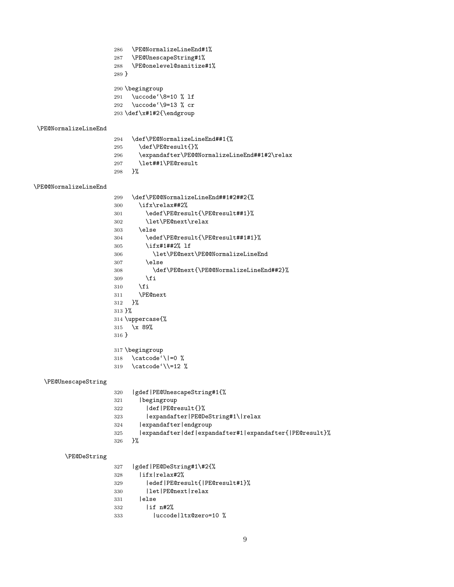<span id="page-8-26"></span><span id="page-8-25"></span><span id="page-8-24"></span><span id="page-8-23"></span><span id="page-8-22"></span><span id="page-8-21"></span><span id="page-8-20"></span><span id="page-8-19"></span><span id="page-8-18"></span><span id="page-8-17"></span><span id="page-8-16"></span><span id="page-8-15"></span><span id="page-8-14"></span><span id="page-8-13"></span><span id="page-8-12"></span><span id="page-8-11"></span><span id="page-8-10"></span><span id="page-8-9"></span><span id="page-8-8"></span><span id="page-8-7"></span><span id="page-8-6"></span><span id="page-8-5"></span><span id="page-8-4"></span><span id="page-8-3"></span><span id="page-8-2"></span><span id="page-8-1"></span><span id="page-8-0"></span> \PE@NormalizeLineEnd#1% \PE@UnescapeString#1% \PE@onelevel@sanitize#1% } \begingroup \uccode'\8=10 % lf \uccode'\9=13 % cr \def\x#1#2{\endgroup \PE@NormalizeLineEnd \def\PE@NormalizeLineEnd##1{% \def\PE@result{}%  $296 \qquad \verb|\expandafter\PE@WormalizeLineEnd##1#2\relax|$  \let##1\PE@result }% \PE@@NormalizeLineEnd \def\PE@@NormalizeLineEnd##1#2##2{% \ifx\relax##2% \edef\PE@result{\PE@result##1}% \let\PE@next\relax \else \edef\PE@result{\PE@result##1#1}% \ifx#1##2% lf \let\PE@next\PE@@NormalizeLineEnd \else \def\PE@next{\PE@@NormalizeLineEnd##2}%  $\setminus$ fi \fi \PE@next }% }% \uppercase{% \x 89% } \begingroup \catcode'\|=0 % \catcode'\\=12 % \PE@UnescapeString |gdef|PE@UnescapeString#1{% |begingroup |def|PE@result{}% |expandafter|PE@DeString#1\|relax |expandafter|endgroup |expandafter|def|expandafter#1|expandafter{|PE@result}% }% \PE@DeString |gdef|PE@DeString#1\#2{% |ifx|relax#2% |edef|PE@result{|PE@result#1}% |let|PE@next|relax |else |if n#2% |uccode|ltx@zero=10 %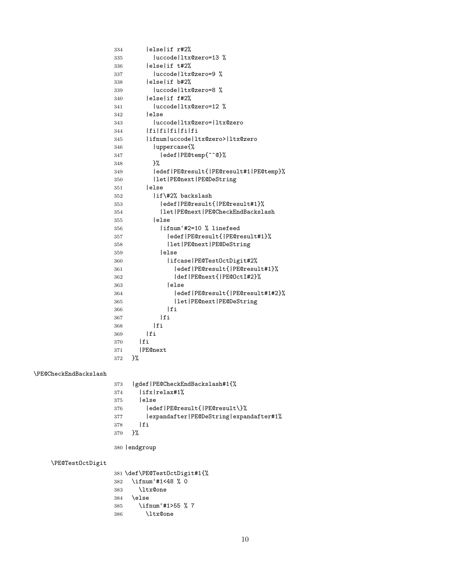<span id="page-9-7"></span><span id="page-9-6"></span><span id="page-9-5"></span><span id="page-9-4"></span><span id="page-9-3"></span><span id="page-9-2"></span><span id="page-9-1"></span><span id="page-9-0"></span> |else|if r#2% |uccode|ltx@zero=13 % |else|if t#2% 337 | uccode|ltx@zero=9 % |else|if b#2% 339 |uccode|ltx@zero=8 % |else|if f#2% 341 | uccode|ltx@zero=12 % |else |uccode|ltx@zero=|ltx@zero |fi|fi|fi|fi|fi |ifnum|uccode|ltx@zero>|ltx@zero |uppercase{% |edef|PE@temp{^^@}% }% |edef|PE@result{|PE@result#1|PE@temp}% |let|PE@next|PE@DeString |else |if\#2% backslash |edef|PE@result{|PE@result#1}% |let|PE@next|PE@CheckEndBackslash |else |ifnum'#2=10 % linefeed |edef|PE@result{|PE@result#1}% |let|PE@next|PE@DeString |else |ifcase|PE@TestOctDigit#2% |edef|PE@result{|PE@result#1}% |def|PE@next{|PE@OctI#2}% |else |edef|PE@result{|PE@result#1#2}% |let|PE@next|PE@DeString 366 | fi 367 | fi |fi |fi |fi |PE@next }% \PE@CheckEndBackslash |gdef|PE@CheckEndBackslash#1{% |ifx|relax#1% |else |edef|PE@result{|PE@result\}% |expandafter|PE@DeString|expandafter#1% |fi }% |endgroup \PE@TestOctDigit \def\PE@TestOctDigit#1{% \ifnum'#1<48 % 0 \ltx@one \else \ifnum'#1>55 % 7 \ltx@one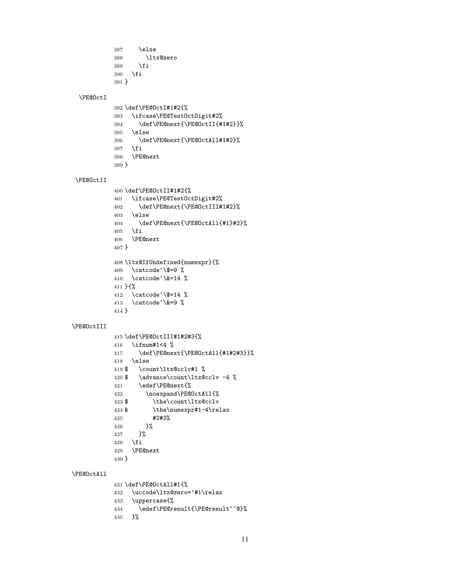```
387 \else
388 \ltx@zero
389 \fi
390 \fi
391 }
```
#### <span id="page-10-25"></span>\PE@OctI

```
392 \def\PE@OctI#1#2{%
393 \ifcase\PE@TestOctDigit#2%
394 \def\PE@next{\PE@OctII{#1#2}}%
395 \else
396 \def\PE@next{\PE@OctAll#1#2}%
397 \fi
398 \PE@next
399 }
```
#### <span id="page-10-26"></span>\PE@OctII

```
400 \def\PE@OctII#1#2{%
401 \ifcase\PE@TestOctDigit#2%
402 \def\PE@next{\PE@OctIII#1#2}%
403 \else
404 \def\PE@next{\PE@OctAll{#1}#2}%
405 \overline{1}406 \PE@next
407 }
408 \ltx@IfUndefined{numexpr}{%
409 \catcode'\$=9 \%410 \catcode'\&=14 %
411 }{%
412 \catcode'\$=14 %
413 \catcode'\&=9 %
414 }
```
#### <span id="page-10-27"></span>\PE@OctIII

```
415 \def\PE@OctIII#1#2#3{%
416 \ifnum#1<4 %
417 \def\PE@next{\PE@OctAll{#1#2#3}}%
418 \else
419 $ \count\ltx@cclv#1 %
420 $ \advance\count\ltx@cclv -4 %
421 \edef\PE@next{%
422 \noexpand\PE@OctAll{%
423 $ \the\count\ltx@cclv
424 \theta \the\numexpr#1-4\relax
425 #2#3%
426 }%
427 }%
428 \fi
429 \PE@next
430 }
```
# <span id="page-10-24"></span>\PE@OctAll

<span id="page-10-29"></span><span id="page-10-28"></span><span id="page-10-22"></span><span id="page-10-12"></span> \def\PE@OctAll#1{% \uccode\ltx@zero='#1\relax \uppercase{% \edef\PE@result{\PE@result^^@}% }%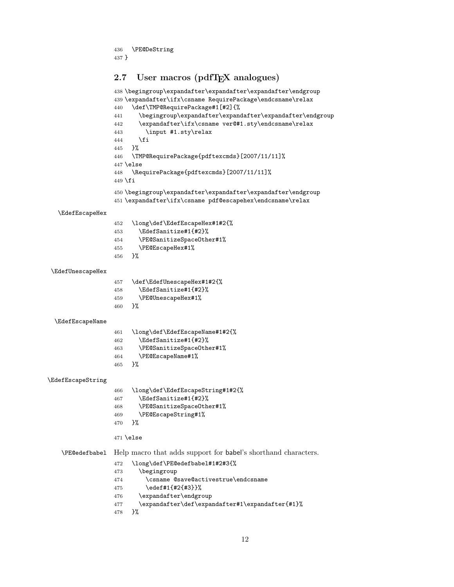```
436 \PE@DeString
437 }
```
# <span id="page-11-25"></span><span id="page-11-24"></span><span id="page-11-23"></span><span id="page-11-13"></span><span id="page-11-8"></span><span id="page-11-3"></span><span id="page-11-2"></span><span id="page-11-1"></span><span id="page-11-0"></span>2.7 User macros (pdfT<sub>F</sub>X analogues)

```
438 \begingroup\expandafter\expandafter\expandafter\endgroup
                  439 \expandafter\ifx\csname RequirePackage\endcsname\relax
                  440 \def\TMP@RequirePackage#1[#2]{%
                  441 \begingroup\expandafter\expandafter\expandafter\endgroup
                  442 \expandafter\ifx\csname ver@#1.sty\endcsname\relax
                  443 \input #1.sty\relax
                  444 \fi
                  445 }%
                  446 \TMP@RequirePackage{pdftexcmds}[2007/11/11]%
                  447 \else
                  448 \RequirePackage{pdftexcmds}[2007/11/11]%
                  449 \fi
                  450 \begingroup\expandafter\expandafter\expandafter\endgroup
                  451 \expandafter\ifx\csname pdf@escapehex\endcsname\relax
  \EdefEscapeHex
                  452 \long\def\EdefEscapeHex#1#2{%
                  453 \EdefSanitize#1{#2}%
                  454 \PE@SanitizeSpaceOther#1%
                  455 \PE@EscapeHex#1%
                  456 }%
 \EdefUnescapeHex
                  457 \def\EdefUnescapeHex#1#2{%
                  458 \EdefSanitize#1{#2}%
                  459 \PE@UnescapeHex#1%
                  460 }%
 \EdefEscapeName
                  461 \long\def\EdefEscapeName#1#2{%
                  462 \EdefSanitize#1{#2}%
                  463 \PE@SanitizeSpaceOther#1%
                  464 \PE@EscapeName#1%
                  465 }%
\EdefEscapeString
                  466 \long\def\EdefEscapeString#1#2{%
                  467 \EdefSanitize#1{#2}%
                  468 \PE@SanitizeSpaceOther#1%
                  469 \PE@EscapeString#1%
                  470 }%
                  471 \else
   \PE@edefbabel Help macro that adds support for babel's shorthand characters.
                  472 \long\def\PE@edefbabel#1#2#3{%
                  473 \begingroup
                  474 \csname @save@activestrue\endcsname
                  475 \edef#1{#2{#3}}%
                  476 \expandafter\endgroup
                  477 \expandafter\def\expandafter#1\expandafter{#1}%
                  478 }%
```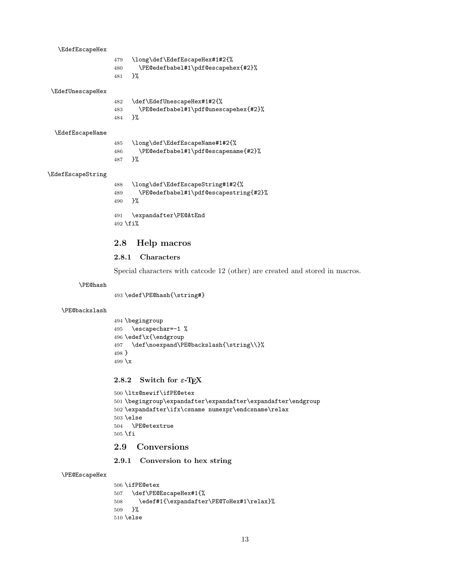<span id="page-12-17"></span><span id="page-12-14"></span><span id="page-12-10"></span><span id="page-12-8"></span><span id="page-12-7"></span>

| \EdefEscapeHex    |            |                                                                     |
|-------------------|------------|---------------------------------------------------------------------|
|                   | 479<br>480 | \long\def\EdefEscapeHex#1#2{%<br>\PE@edefbabel#1\pdf@escapehex{#2}% |
|                   | 481        | ጉ%                                                                  |
| \EdefUnescapeHex  |            |                                                                     |
|                   | 482        | \def\EdefUnescapeHex#1#2{%                                          |
|                   | 483        | \PE@edefbabel#1\pdf@unescapehex{#2}%                                |
|                   | 484        | ጉ%                                                                  |
| \EdefEscapeName   |            |                                                                     |
|                   | 485        | \long\def\EdefEscapeName#1#2{%                                      |
|                   | 486        | \PE@edefbabel#1\pdf@escapename{#2}%                                 |
|                   | 487        | ጉ%                                                                  |
| \EdefEscapeString |            |                                                                     |
|                   | 488        | \long\def\EdefEscapeString#1#2{%                                    |
|                   | 489        | \PE@edefbabel#1\pdf@escapestring{#2}%                               |
|                   | 490        | }%                                                                  |

<span id="page-12-18"></span><span id="page-12-16"></span><span id="page-12-15"></span><span id="page-12-9"></span> \expandafter\PE@AtEnd 492 \fi%

# <span id="page-12-0"></span>2.8 Help macros

# <span id="page-12-1"></span>2.8.1 Characters

Special characters with catcode 12 (other) are created and stored in macros.

#### <span id="page-12-22"></span>\PE@hash

\edef\PE@hash{\string#}

#### <span id="page-12-19"></span>\PE@backslash

```
494 \begingroup
495 \escapechar=-1 %
496 \edef\x{\endgroup
497 \def\noexpand\PE@backslash{\string\\}%
498 }
499 \overline{x}
```
# <span id="page-12-25"></span><span id="page-12-2"></span>2.8.2 Switch for  $\varepsilon$ -T<sub>E</sub>X

```
500 \ltx@newif\ifPE@etex
501 \begingroup\expandafter\expandafter\expandafter\endgroup
502 \expandafter\ifx\csname numexpr\endcsname\relax
503 \else
504 \PE@etextrue
505 \fi
```
# <span id="page-12-21"></span><span id="page-12-3"></span>2.9 Conversions

# <span id="page-12-4"></span>2.9.1 Conversion to hex string

#### <span id="page-12-20"></span>\PE@EscapeHex

<span id="page-12-23"></span><span id="page-12-13"></span> \ifPE@etex \def\PE@EscapeHex#1{% 508 \edef#1{\expandafter\PE@ToHex#1\relax}% }% \else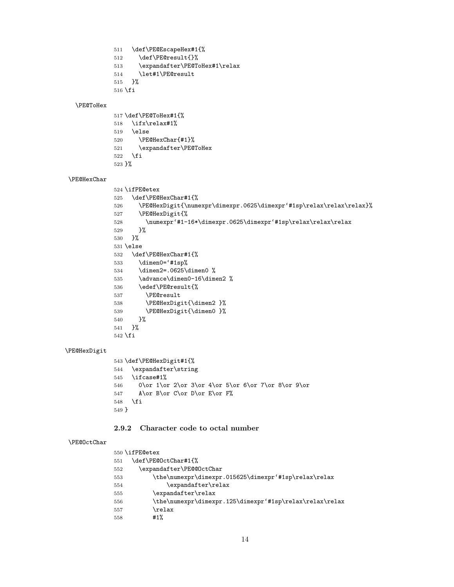```
511 \def\PE@EscapeHex#1{%
512 \def\PE@result{}%
513 \expandafter\PE@ToHex#1\relax
514 \let#1\PE@result
```

```
515 }%
```

```
516 \overline{f}
```
#### <span id="page-13-25"></span>\PE@ToHex

<span id="page-13-15"></span><span id="page-13-13"></span> \def\PE@ToHex#1{% \ifx\relax#1% \else \PE@HexChar{#1}% \expandafter\PE@ToHex  $\setminus$ fi }%

#### <span id="page-13-16"></span>\PE@HexChar

```
524 \ifPE@etex
525 \def\PE@HexChar#1{%
526 \PE@HexDigit{\numexpr\dimexpr.0625\dimexpr'#1sp\relax\relax\relax}%
527 \PE@HexDigit{%
528 \numexpr'#1-16*\dimexpr.0625\dimexpr'#1sp\relax\relax\relax
529 }%
530 }%
531 \else
532 \def\PE@HexChar#1{%
533 \dimen0='#1sp%
534 \dimen2=.0625\dimen0 %
535 \advance\dimen0-16\dimen2 %
536 \edef\PE@result{%
537 \PE@result
538 \PE@HexDigit{\dimen2 }%
539 \PE@HexDigit{\dimen0 }%
540 }%
541 }%
542 \overline{1}
```
#### <span id="page-13-18"></span>\PE@HexDigit

```
543 \def\PE@HexDigit#1{%
544 \expandafter\string
545 \ifcase#1%
546 0\or 1\or 2\or 3\or 4\or 5\or 6\or 7\or 8\or 9\or
547 A\or B\or C\or D\or E\or F%
548 \fi
549 }
```
#### <span id="page-13-0"></span>2.9.2 Character code to octal number

#### <span id="page-13-19"></span>\PE@OctChar

<span id="page-13-14"></span><span id="page-13-12"></span><span id="page-13-9"></span><span id="page-13-8"></span>

|     | 550 \ifPE@etex                                           |
|-----|----------------------------------------------------------|
| 551 | \def\PE@OctChar#1{%                                      |
| 552 | \expandafter\PE@@OctChar                                 |
| 553 | \the\numexpr\dimexpr.015625\dimexpr'#1sp\relax\relax     |
| 554 | \expandafter\relax                                       |
| 555 | \expandafter\relax                                       |
| 556 | \the\numexpr\dimexpr.125\dimexpr'#1sp\relax\relax\relax\ |
| 557 | \relax                                                   |
| 558 | #1%                                                      |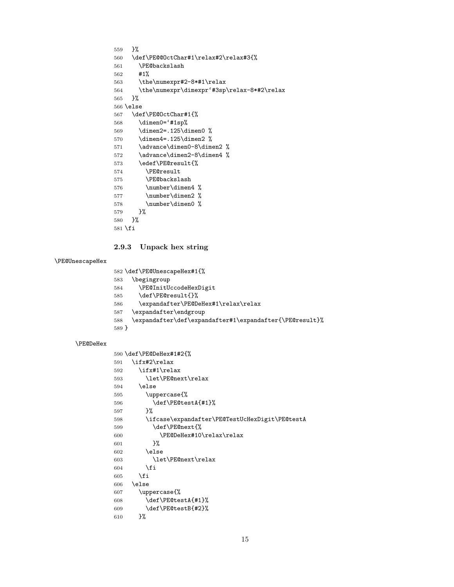```
559 }%
560 \def\PE@@OctChar#1\relax#2\relax#3{%
561 \PE@backslash
562 #1%
563 \the\numexpr#2-8*#1\relax
564 \the\numexpr\dimexpr'#3sp\relax-8*#2\relax
565 }%
566 \else
567 \def\PE@OctChar#1{%
568 \dimen0='#1sp%
569 \dimen2=.125\dimen0 %
570 \dimen4=.125\dimen2 %
571 \advance\dimen0-8\dimen2 %
572 \advance\dimen2-8\dimen4 %
573 \edef\PE@result{%
574 \PE@result
575 \PE@backslash
576 \number\dimen4 %
577 \number\dimen2 %
578 \number\dimen0 %
579 }%
580 }%
581 \fi
```
### <span id="page-14-24"></span><span id="page-14-23"></span><span id="page-14-16"></span><span id="page-14-8"></span><span id="page-14-7"></span><span id="page-14-6"></span><span id="page-14-2"></span><span id="page-14-0"></span>2.9.3 Unpack hex string

#### <span id="page-14-30"></span>\PE@UnescapeHex

```
582 \def\PE@UnescapeHex#1{%
583 \begingroup
584 \PE@InitUccodeHexDigit
585 \def\PE@result{}%
586 \expandafter\PE@DeHex#1\relax\relax
587 \expandafter\endgroup
588 \expandafter\def\expandafter#1\expandafter{\PE@result}%
589 }
```
#### <span id="page-14-18"></span>\PE@DeHex

```
590 \def\PE@DeHex#1#2{%
591 \ifx#2\relax
592 \ifx#1\relax
593 \let\PE@next\relax
594 \else
595 \uppercase{%
596 \def\PE@testA{#1}%
597 }%
598 \ifcase\expandafter\PE@TestUcHexDigit\PE@testA
599 \def\PE@next{%
600 \PE@DeHex#10\relax\relax
601 }%
602 \else
603 \let\PE@next\relax
604 \fi
605 \fi
606 \else
607 \uppercase{%
608 \def\PE@testA{#1}%
609 \def\PE@testB{#2}%
610 }%
```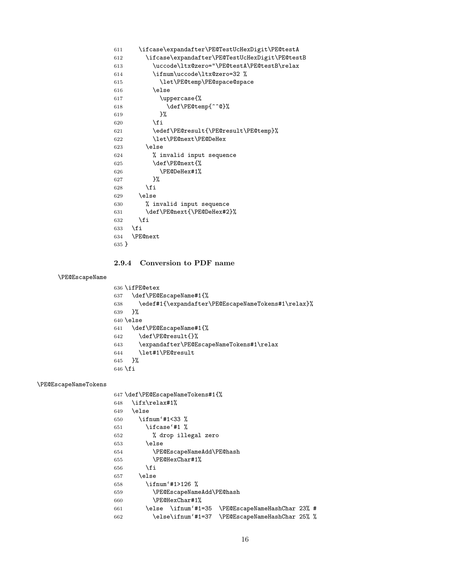```
611 \ifcase\expandafter\PE@TestUcHexDigit\PE@testA
612 \ifcase\expandafter\PE@TestUcHexDigit\PE@testB
613 \uccode\ltx@zero="\PE@testA\PE@testB\relax
614 \ifnum\uccode\ltx@zero=32 %
615 \let\PE@temp\PE@space@space
616 \else
617 \uppercase{%
618 \def\PE@temp{^^@}%
619 }%
620 \setminusfi
621 \edef\PE@result{\PE@result\PE@temp}%
622 \let\PE@next\PE@DeHex
623 \else
624 % invalid input sequence
625 \def\PE@next{%
626 \PE@DeHex#1%
627628 \setminusfi
629 \else
630 % invalid input sequence
631 \def\PE@next{\PE@DeHex#2}%
632 \setminusfi
633 \setminusfi
634 \PE@next
635 }
```
### <span id="page-15-23"></span><span id="page-15-22"></span><span id="page-15-21"></span><span id="page-15-0"></span>2.9.4 Conversion to PDF name

### <span id="page-15-12"></span>\PE@EscapeName

```
636 \ifPE@etex
637 \def\PE@EscapeName#1{%
638 \edef#1{\expandafter\PE@EscapeNameTokens#1\relax}%
639 }%
640 \else
641 \def\PE@EscapeName#1{%
642 \def\PE@result{}%
643 \expandafter\PE@EscapeNameTokens#1\relax
644 \let#1\PE@result
645 }%
646 \overline{f}i
```
#### <span id="page-15-17"></span>\PE@EscapeNameTokens

<span id="page-15-26"></span><span id="page-15-19"></span><span id="page-15-18"></span><span id="page-15-16"></span><span id="page-15-14"></span><span id="page-15-13"></span><span id="page-15-10"></span><span id="page-15-8"></span><span id="page-15-7"></span><span id="page-15-6"></span><span id="page-15-5"></span><span id="page-15-3"></span>

|     | 647 \def\PE@EscapeNameTokens#1{%               |                              |  |  |
|-----|------------------------------------------------|------------------------------|--|--|
| 648 | \ifx\relax#1%                                  |                              |  |  |
| 649 | \else                                          |                              |  |  |
| 650 | \ifnum'#1<33 %                                 |                              |  |  |
| 651 | \ifcase'#1 %                                   |                              |  |  |
| 652 | % drop illegal zero                            |                              |  |  |
| 653 | \else                                          |                              |  |  |
| 654 | \PE@EscapeNameAdd\PE@hash                      |                              |  |  |
| 655 | \PE@HexChar#1%                                 |                              |  |  |
| 656 | \fi                                            |                              |  |  |
| 657 | \else                                          |                              |  |  |
| 658 | \ifnum'#1>126 %                                |                              |  |  |
| 659 | \PE@EscapeNameAdd\PE@hash                      |                              |  |  |
| 660 | \PE@HexChar#1%                                 |                              |  |  |
| 661 | \else \ifnum'#1=35                             | \PE@EscapeNameHashChar 23% # |  |  |
| 662 | \else\ifnum'#1=37 \PE@EscapeNameHashChar 25% % |                              |  |  |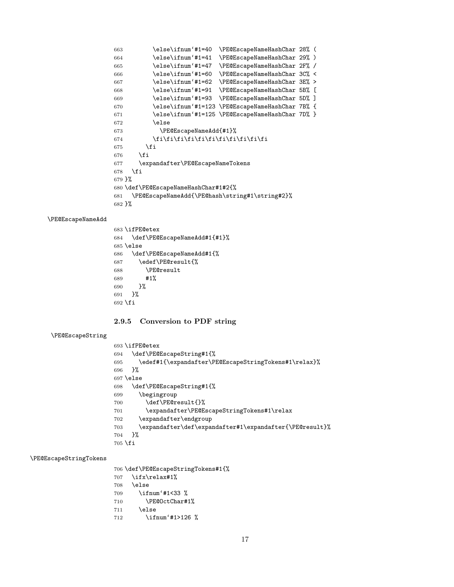<span id="page-16-15"></span><span id="page-16-9"></span><span id="page-16-8"></span><span id="page-16-7"></span><span id="page-16-6"></span><span id="page-16-5"></span><span id="page-16-4"></span><span id="page-16-3"></span><span id="page-16-2"></span><span id="page-16-1"></span> \else\ifnum'#1=40 \PE@EscapeNameHashChar 28% ( \else\ifnum'#1=41 \PE@EscapeNameHashChar 29% ) \else\ifnum'#1=47 \PE@EscapeNameHashChar 2F% / \else\ifnum'#1=60 \PE@EscapeNameHashChar 3C% < \else\ifnum'#1=62 \PE@EscapeNameHashChar 3E% > \else\ifnum'#1=91 \PE@EscapeNameHashChar 5B% [ \else\ifnum'#1=93 \PE@EscapeNameHashChar 5D% ] \else\ifnum'#1=123 \PE@EscapeNameHashChar 7B% { \else\ifnum'#1=125 \PE@EscapeNameHashChar 7D% } \else \PE@EscapeNameAdd{#1}% 674 \fi\fi\fi\fi\fi\fi\fi\fi\fi\fi\fi\fi \fi \fi \expandafter\PE@EscapeNameTokens \fi }% \def\PE@EscapeNameHashChar#1#2{% \PE@EscapeNameAdd{\PE@hash\string#1\string#2}% }%

#### <span id="page-16-17"></span>\PE@EscapeNameAdd

```
683 \ifPE@etex
684 \def\PE@EscapeNameAdd#1{#1}%
685 \else
686 \def\PE@EscapeNameAdd#1{%
687 \edef\PE@result{%
688 \PE@result
689 #1%
690 }%
691 }%
692 \fi
```
### <span id="page-16-0"></span>2.9.5 Conversion to PDF string

#### <span id="page-16-19"></span>\PE@EscapeString

<span id="page-16-26"></span><span id="page-16-20"></span><span id="page-16-13"></span>

|           | 693 \ifPE@etex                                          |
|-----------|---------------------------------------------------------|
| 694       | \def\PE@EscapeString#1{%                                |
| 695       | \edef#1{\expandafter\PE@EscapeStringTokens#1\relax}%    |
| 696       | ጉ%                                                      |
|           | $697$ \else                                             |
| 698       | \def\PE@EscapeString#1{%                                |
| 699       | \begingroup                                             |
| 700       | \def\PE@result{}%                                       |
| 701       | \expandafter\PE@EscapeStringTokens#1\relax              |
| 702       | \expandafter\endgroup                                   |
| 703       | \expandafter\def\expandafter#1\expandafter{\PE@result}% |
| 704       | ጉ%                                                      |
| $705$ \fi |                                                         |
|           |                                                         |

### <span id="page-16-22"></span>\PE@EscapeStringTokens

<span id="page-16-27"></span><span id="page-16-21"></span><span id="page-16-14"></span> \def\PE@EscapeStringTokens#1{% \ifx\relax#1% \else

<span id="page-16-10"></span>\ifnum'#1<33 %

- <span id="page-16-23"></span>\PE@OctChar#1%
- \else
- <span id="page-16-11"></span>712 \ifnum'#1>126 %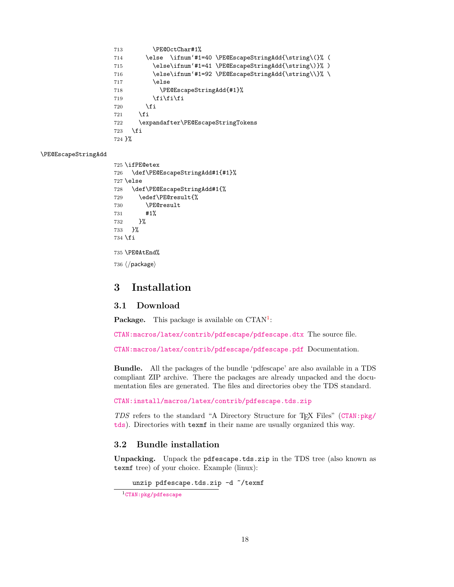```
713 \PE@OctChar#1%
714 \else \ifnum'#1=40 \PE@EscapeStringAdd{\string\(}% (
715 \else\ifnum'#1=41 \PE@EscapeStringAdd{\string\)}% )
716 \else\ifnum'#1=92 \PE@EscapeStringAdd{\string\\}% \
717 \else
718 \PE@EscapeStringAdd{#1}%
719 \{fi\}fit720 \overline{\text{1}}721 \fi
722 \expandafter\PE@EscapeStringTokens
723 \fi
724 }%
```
#### <span id="page-17-10"></span>\PE@EscapeStringAdd

```
725 \ifPE@etex
726 \def\PE@EscapeStringAdd#1{#1}%
727 \else
728 \def\PE@EscapeStringAdd#1{%
729 \edef\PE@result{%
730 \PE@result
731 #1%
732 }%
733 }%
734 \fi
735 \PE@AtEnd%
736 \langle/package\rangle
```
# <span id="page-17-8"></span><span id="page-17-0"></span>3 Installation

# <span id="page-17-1"></span>3.1 Download

**Package.** This package is available on  $CTAN^1$  $CTAN^1$ :

[CTAN:macros/latex/contrib/pdfescape/pdfescape.dtx](https://ctan.org/tex-archive/macros/latex/contrib/pdfescape/pdfescape.dtx) The source file.

[CTAN:macros/latex/contrib/pdfescape/pdfescape.pdf](https://ctan.org/tex-archive/macros/latex/contrib/pdfescape/pdfescape.pdf) Documentation.

Bundle. All the packages of the bundle 'pdfescape' are also available in a TDS compliant ZIP archive. There the packages are already unpacked and the documentation files are generated. The files and directories obey the TDS standard.

[CTAN:install/macros/latex/contrib/pdfescape.tds.zip](http://mirrors.ctan.org/install/macros/latex/contrib/pdfescape.tds.zip)

TDS refers to the standard "A Directory Structure for TEX Files" ([CTAN:pkg/](http://ctan.org/pkg/tds) [tds](http://ctan.org/pkg/tds)). Directories with texmf in their name are usually organized this way.

# <span id="page-17-2"></span>3.2 Bundle installation

Unpacking. Unpack the pdfescape.tds.zip in the TDS tree (also known as texmf tree) of your choice. Example (linux):

unzip pdfescape.tds.zip -d "/texmf

```
1CTAN:pkg/pdfescape
```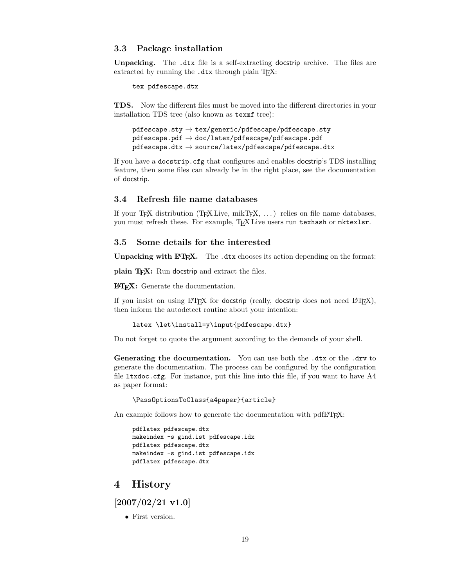#### <span id="page-18-0"></span>3.3 Package installation

Unpacking. The .dtx file is a self-extracting docstrip archive. The files are extracted by running the .dtx through plain TEX:

tex pdfescape.dtx

TDS. Now the different files must be moved into the different directories in your installation TDS tree (also known as texmf tree):

```
\verb|pdfescape.sty| \rightarrow \verb|tex|/pdfescape/bdfescape.sty|pdfescape.pdf \rightarrow doc/latex/pdfescape/pdfescape.pdf
pdfescape.dtx \rightarrow source/lates/pdfescape/pdfescape.dtx
```
If you have a docstrip.cfg that configures and enables docstrip's TDS installing feature, then some files can already be in the right place, see the documentation of docstrip.

# <span id="page-18-1"></span>3.4 Refresh file name databases

If your T<sub>E</sub>X distribution  $(TEX\text{ Live}, \text{mikTrX}, \ldots)$  relies on file name databases, you must refresh these. For example, TEX Live users run texhash or mktexlsr.

# <span id="page-18-2"></span>3.5 Some details for the interested

Unpacking with LAT<sub>E</sub>X. The .dtx chooses its action depending on the format:

plain T<sub>E</sub>X: Run docstrip and extract the files.

LATEX: Generate the documentation.

If you insist on using  $L^2T_FX$  for docstrip (really, docstrip does not need  $L^2T_FX$ ), then inform the autodetect routine about your intention:

```
latex \let\install=y\input{pdfescape.dtx}
```
Do not forget to quote the argument according to the demands of your shell.

Generating the documentation. You can use both the .dtx or the .drv to generate the documentation. The process can be configured by the configuration file ltxdoc.cfg. For instance, put this line into this file, if you want to have A4 as paper format:

\PassOptionsToClass{a4paper}{article}

An example follows how to generate the documentation with pdfI4T<sub>E</sub>X:

```
pdflatex pdfescape.dtx
makeindex -s gind.ist pdfescape.idx
pdflatex pdfescape.dtx
makeindex -s gind.ist pdfescape.idx
pdflatex pdfescape.dtx
```
# <span id="page-18-3"></span>4 History

<span id="page-18-4"></span>[2007/02/21 v1.0]

• First version.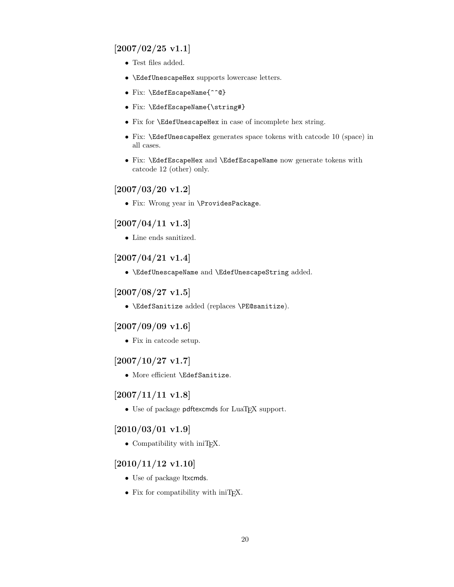# <span id="page-19-0"></span> $[2007/02/25 \text{ v}1.1]$

- Test files added.
- \EdefUnescapeHex supports lowercase letters.
- Fix: \EdefEscapeName{^^@}
- Fix: \EdefEscapeName{\string#}
- Fix for \EdefUnescapeHex in case of incomplete hex string.
- Fix: \EdefUnescapeHex generates space tokens with catcode 10 (space) in all cases.
- Fix: \EdefEscapeHex and \EdefEscapeName now generate tokens with catcode 12 (other) only.

# <span id="page-19-1"></span>[2007/03/20 v1.2]

• Fix: Wrong year in \ProvidesPackage.

# <span id="page-19-2"></span> $[2007/04/11 \text{ v}1.3]$

 $\bullet\,$  Line ends sanitized.

# <span id="page-19-3"></span>[2007/04/21 v1.4]

• \EdefUnescapeName and \EdefUnescapeString added.

# <span id="page-19-4"></span> $[2007/08/27 \text{ v}1.5]$

• \EdefSanitize added (replaces \PE@sanitize).

# <span id="page-19-5"></span> $[2007/09/09 \text{ v}1.6]$

• Fix in catcode setup.

# <span id="page-19-6"></span> $[2007/10/27 \text{ v}1.7]$

• More efficient \EdefSanitize.

# <span id="page-19-7"></span>[2007/11/11 v1.8]

 $\bullet$  Use of package pdftexcmds for LuaT<sub>EX</sub> support.

# <span id="page-19-8"></span> $[2010/03/01 \text{ v}1.9]$

• Compatibility with iniTEX.

# <span id="page-19-9"></span> $[2010/11/12 \text{ v}1.10]$

- Use of package ltxcmds.
- Fix for compatibility with iniT<sub>E</sub>X.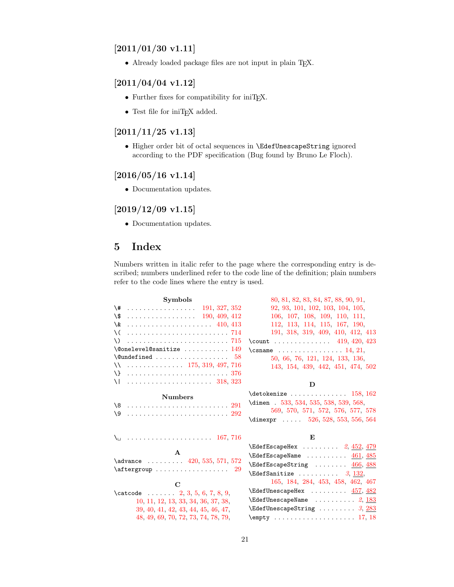# <span id="page-20-0"></span> $[2011/01/30 v1.11]$

• Already loaded package files are not input in plain TFX.

# <span id="page-20-1"></span>[2011/04/04 v1.12]

- Further fixes for compatibility for iniTEX.
- Test file for iniT<sub>E</sub>X added.

# <span id="page-20-2"></span> $[2011/11/25 v1.13]$

• Higher order bit of octal sequences in \EdefUnescapeString ignored according to the PDF specification (Bug found by Bruno Le Floch).

# <span id="page-20-3"></span>[2016/05/16 v1.14]

• Documentation updates.

# <span id="page-20-4"></span> $[2019/12/09 \text{ v}1.15]$

• Documentation updates.

# <span id="page-20-5"></span>5 Index

Numbers written in italic refer to the page where the corresponding entry is described; numbers underlined refer to the code line of the definition; plain numbers refer to the code lines where the entry is used.

| <b>Symbols</b>                                                         | 80, 81, 82, 83, 84, 87, 88, 90, 91,                                                   |
|------------------------------------------------------------------------|---------------------------------------------------------------------------------------|
| $\setminus$ #  191, 327, 352                                           | 92, 93, 101, 102, 103, 104, 105,                                                      |
| \\$<br>$\ldots \ldots \ldots \ldots \ldots \ldots \quad 190, 409, 412$ | 106, 107, 108, 109, 110, 111,                                                         |
| \&                                                                     | 112, 113, 114, 115, 167, 190,                                                         |
| \ (                                                                    | 191, 318, 319, 409, 410, 412, 413                                                     |
| \).                                                                    | \count  419, 420, 423                                                                 |
| $\text{\textbackslash@onelevel@sanitize}\ \dots\dots\dots\dots\ 149$   | \csname $\ldots \ldots \ldots \ldots 14, 21$ ,                                        |
|                                                                        | 50, 66, 76, 121, 124, 133, 136,                                                       |
| $\setminus$ 175, 319, 497, 716                                         | 143, 154, 439, 442, 451, 474, 502                                                     |
|                                                                        |                                                                                       |
|                                                                        | D                                                                                     |
|                                                                        | $\det$ okenize  158, 162                                                              |
| <b>Numbers</b>                                                         | \dimen . 533, 534, 535, 538, 539, 568,                                                |
|                                                                        | 569, 570, 571, 572, 576, 577, 578                                                     |
|                                                                        | \dimexpr $526, 528, 553, 556, 564$                                                    |
|                                                                        | E                                                                                     |
|                                                                        | $\text{XEdefEscapeHex } \ldots \ldots \quad 2, \frac{452}{479}$                       |
| $\mathbf{A}$                                                           | $\text{XEdefEscapeName} \dots \dots \dots \frac{461}{485}$                            |
| \advance $\ldots \ldots$ 420, 535, 571, 572                            | $\text{EdefEscapeString}$ $466, 488$                                                  |
| $\text{Aftergroup} \dots \dots \dots \dots \dots 29$                   | $\text{EdefSanitize} \dots \dots \quad 3, \, 132,$                                    |
|                                                                        | 165, 184, 284, 453, 458, 462, 467                                                     |
| $\mathbf C$                                                            | $\texttt{NEdefUnescapeHex} \dots \dots \dots \ \ \textcolor{red}{457}, \frac{482}{1}$ |
| \catcode $2, 3, 5, 6, 7, 8, 9,$                                        | $\texttt{XEdefUnescapeName} \dots \dots \dots 2, 183$                                 |
| 10, 11, 12, 13, 33, 34, 36, 37, 38,                                    |                                                                                       |
| 39, 40, 41, 42, 43, 44, 45, 46, 47,                                    | $\text{EdefUnescapeString} \dots \dots \dots \, 3,283$                                |
| 48, 49, 69, 70, 72, 73, 74, 78, 79,                                    |                                                                                       |

### 21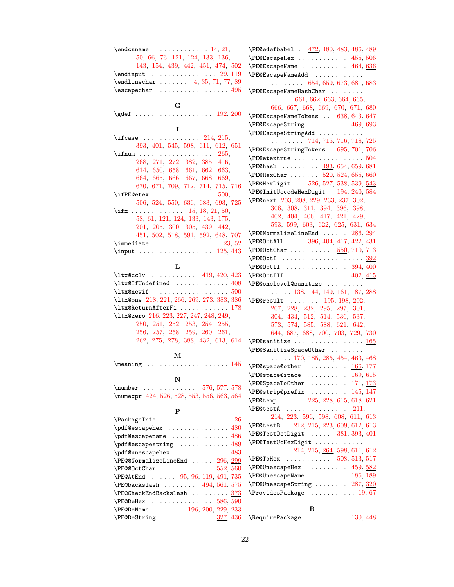|                                                                                                       | ١F         |
|-------------------------------------------------------------------------------------------------------|------------|
| 50, 66, 76, 121, 124, 133, 136,                                                                       | ١F         |
| 143, 154, 439, 442, 451, 474, 502                                                                     | ١F         |
| $\end{imput}$ 29, 119                                                                                 | $\sqrt{F}$ |
| $\end{tikz}$ 4, 35, 71, 77, 89                                                                        |            |
| $\verb \escapechar  \dots \dots \dots \dots \ 495$                                                    | ١F         |
| $\mathbf G$                                                                                           |            |
| $\qquad \qquad$ 192, 200                                                                              |            |
|                                                                                                       | $\sqrt{F}$ |
| 1                                                                                                     | ١F         |
| $\backslash$ ifcase $214, 215,$                                                                       | ١F         |
| 393, 401, 545, 598, 611, 612, 651                                                                     | $\sqrt{F}$ |
| \ifnum<br>- 265.                                                                                      | ١F         |
| 268, 271, 272, 382, 385, 416,                                                                         | $\sqrt{F}$ |
| 614, 650, 658, 661, 662, 663,                                                                         |            |
| 664, 665, 666, 667, 668, 669,                                                                         | \F         |
| 670, 671, 709, 712, 714, 715, 716                                                                     | ١F         |
| $\left\{\texttt{ifPE@etex} \quad \ldots \quad \ldots \quad \ldots \quad \ldots \quad \ldots \right\}$ | \F         |
| $506,\ 524,\ 550,\ 636,\ 683,\ 693,\ 725$                                                             | ١F         |
| \ifx 15, 18, 21, 50,                                                                                  |            |
| 58, 61, 121, 124, 133, 143, 175,                                                                      |            |
| 201, 205, 300, 305, 439, 442,                                                                         |            |
| 451, 502, 518, 591, 592, 648, 707                                                                     | ١F         |
| $\verb \immediate            23, 52$                                                                  | ١F         |
| $\mathcal{L}$ 125, 443                                                                                | ١F         |
| L                                                                                                     | ١F         |
| $\texttt{ltx@cclv} \dots \dots \dots \ 419, 420, 423$                                                 | \F<br>١F   |
| $\texttt{\texttt{ltx@If}Underined} \dots \dots \dots \dots \ 408$                                     | $\sqrt{F}$ |
| $\texttt{\texttt{ltx@newif}} \quad \ldots \quad \ldots \quad \ldots \quad \ldots \quad \texttt{500}$  |            |
| \ltx@one 218, 221, 266, 269, 273, 383, 386                                                            | ١F         |
| \ltx@ReturnAfterFi  178                                                                               |            |
| \ltx@zero 216, 223, 227, 247, 248, 249,                                                               |            |
| 250, 251, 252, 253, 254, 255,                                                                         |            |
| $256, \ 257, \ 258, \ 259, \ 260, \ 261,$                                                             |            |
| 262, 275, 278, 388, 432, 613, 614                                                                     | ١F         |
|                                                                                                       | ١F         |
| М                                                                                                     |            |
| $\n\text{Meaning}$<br>. 145                                                                           | ١F         |
| N                                                                                                     | \F         |
| $\text{number} \dots \dots \dots \dots \ 576, 577, 578$                                               | ١F         |
| \numexpr 424, 526, 528, 553, 556, 563, 564                                                            | ١F         |
|                                                                                                       | ١F         |
| P                                                                                                     | ١F         |
| \PackageInfo<br>26                                                                                    |            |
| $\qquad$                                                                                              | ١F         |
| $\qquad$                                                                                              | $\sqrt{F}$ |
| $\texttt{pdf@escapestring}$ $489$                                                                     | ١F         |
|                                                                                                       |            |
| $\P$ E@@NormalizeLineEnd $296, 299$                                                                   | ١F         |
| $\text{NE@QOctChar} \dots \dots \dots \dots \ 552, \overline{560}$                                    | ١F         |
| \PE@AtEnd  95, 96, 119, 491, 735                                                                      | ١F         |
| $\P$ E@backslash $494, 561, 575$                                                                      | ١F         |
| \PE@CheckEndBackslash  373                                                                            | ١F         |
| $\P$ E@DeHex  586, $590$                                                                              |            |
| \PE@DeName  196, 200, 229, 233                                                                        |            |

PE@edefbabel . [472,](#page-11-15) [480,](#page-12-14) [483,](#page-12-17) [486,](#page-12-15) [489](#page-12-16)  $\texttt{PE@EscapeHex} \dots \dots \dots \dots \ 455, \frac{506}{506}$  $\texttt{PE@EscapeHex} \dots \dots \dots \dots \ 455, \frac{506}{506}$  $\texttt{PE@EscapeHex} \dots \dots \dots \dots \ 455, \frac{506}{506}$  $\texttt{PE@EscapeHex} \dots \dots \dots \dots \ 455, \frac{506}{506}$  $\texttt{PE@EscapeHex} \dots \dots \dots \dots \ 455, \frac{506}{506}$  $\texttt{PE@EscapeName}$  . . . . . . . . . . [464,](#page-11-17) [636](#page-15-12) \PE@EscapeNameAdd . . . . . . . . . . . .  $\ldots$  . . . . . . [654,](#page-15-13) [659,](#page-15-14) [673,](#page-16-15) [681,](#page-16-16) [683](#page-16-17) E@EscapeNameHashChar . . . . . . . . . . . . . [661,](#page-15-7) [662,](#page-15-8) [663,](#page-16-1) [664,](#page-16-2) [665,](#page-16-3) [666,](#page-16-4) [667,](#page-16-5) [668,](#page-16-6) [669,](#page-16-7) [670,](#page-16-8) [671,](#page-16-9) [680](#page-16-18)  $\texttt{PE@EscapeNameTokens } . . . 638, 643, \underline{647}$  $\texttt{PE@EscapeNameTokens } . . . 638, 643, \underline{647}$  $\texttt{PE@EscapeNameTokens } . . . 638, 643, \underline{647}$  $\texttt{PE@EscapeNameTokens } . . . 638, 643, \underline{647}$  $\texttt{PE@EscapeNameTokens } . . . 638, 643, \underline{647}$  $\texttt{PE@EscapeNameTokens } . . . 638, 643, \underline{647}$  $\texttt{PE@EscapeNameTokens } . . . 638, 643, \underline{647}$  $\texttt{PE@EscapeString}$  . . . . . . . . [469,](#page-11-18)  $\underline{693}$  $\underline{693}$  $\underline{693}$ E@EscapeStringAdd . . . . . . . . . . . . . . . . . . . [714,](#page-17-4) [715,](#page-17-5) [716,](#page-17-6) [718,](#page-17-9) <u>[725](#page-17-10)</u>  $\texttt{PE@EscapeStringTokens} \qquad 695, 701, 706$  $\texttt{PE@EscapeStringTokens} \qquad 695, 701, 706$  $\texttt{PE@EscapeStringTokens} \qquad 695, 701, 706$  $\texttt{PE@EscapeStringTokens} \qquad 695, 701, 706$  $\texttt{PE@EscapeStringTokens} \qquad 695, 701, 706$  $\texttt{PE@EscapeStringTokens} \qquad 695, 701, 706$ \PE@etextrue . . . . . . . . . . . . . . . . . [504](#page-12-21)  $\texttt{PEChash}$  . . . . . . . . . [493,](#page-12-22) [654,](#page-15-13) [659,](#page-15-14) [681](#page-16-16)  $\texttt{PE@HexChar}$  ......  $520, \, 524, \, 655, \, 660$  $520, \, 524, \, 655, \, 660$  $520, \, 524, \, 655, \, 660$  $520, \, 524, \, 655, \, 660$  $520, \, 524, \, 655, \, 660$  $520, \, 524, \, 655, \, 660$  $520, \, 524, \, 655, \, 660$ PE@HexDigit . . [526,](#page-13-6) [527,](#page-13-17) [538,](#page-13-4) [539,](#page-13-5) [543](#page-13-18)  $\texttt{PECOnitUccodeHexDigit}$  [194,](#page-6-19)  $\frac{240}{584}$  $\frac{240}{584}$  $\frac{240}{584}$ PE@next [203,](#page-6-20) [208,](#page-6-21) [229,](#page-6-17) [233,](#page-6-18) [237,](#page-7-29) [302,](#page-8-11) [306,](#page-8-12) [308,](#page-8-13) [311,](#page-8-14) [394,](#page-10-14) [396,](#page-10-15) [398,](#page-10-16) [402,](#page-10-17) [404,](#page-10-18) [406,](#page-10-19) [417,](#page-10-20) [421,](#page-10-21) [429,](#page-10-22) [593,](#page-14-20) [599,](#page-14-21) [603,](#page-14-22) [622,](#page-15-20) [625,](#page-15-21) [631,](#page-15-22) [634](#page-15-23)  $\texttt{PE@NormalizeLineEnd}$  ......  $286, \, 294$  $286, \, 294$  $286, \, 294$ PE@OctAll . . . [396,](#page-10-15) [404,](#page-10-18) [417,](#page-10-20) [422,](#page-10-23) [431](#page-10-24)  $\texttt{PECOctChar}\ \dots \dots \dots \dots \quad \frac{550}{710,713}$  $\texttt{PECOctChar}\ \dots \dots \dots \dots \quad \frac{550}{710,713}$  $\texttt{PECOctChar}\ \dots \dots \dots \dots \quad \frac{550}{710,713}$  $\texttt{PECOctChar}\ \dots \dots \dots \dots \quad \frac{550}{710,713}$ \PE@OctI . . . . . . . . . . . . . . . . . . . . [392](#page-10-25)  $\texttt{PE@OctII}$  . . . . . . . . . . . . . . . [394,](#page-10-14)  $\overline{400}$  $\overline{400}$  $\overline{400}$  $\texttt{PECOctIII}$  ..............  $402,\,415$  $402,\,415$  $402,\,415$ E@onelevel@sanitize . . . . . . . . . . . . . . [138,](#page-4-29) [144,](#page-5-12) [149,](#page-5-2) [161,](#page-5-13) [187,](#page-6-22) [288](#page-8-17)  $\text{P}\text{C}$ result . . . . . . [195,](#page-6-23) [198,](#page-6-24) [202,](#page-6-25) [207,](#page-6-26) [228,](#page-6-27) [232,](#page-6-28) [295,](#page-8-18) [297,](#page-8-19) [301,](#page-8-20) [304,](#page-8-21) [434,](#page-10-28) [512,](#page-13-20) [514,](#page-13-21) [536,](#page-13-22) [537,](#page-13-23) [573,](#page-14-23) [574,](#page-14-24) [585,](#page-14-25) [588,](#page-14-26) [621,](#page-15-24) [642,](#page-15-25) [644,](#page-15-26) [687,](#page-16-24) [688,](#page-16-25) [700,](#page-16-26) [703,](#page-16-27) [729,](#page-17-12) [730](#page-17-13)  $\texttt{PESanitize}$  ....................  $\underline{165}$  $\underline{165}$  $\underline{165}$ E@SanitizeSpaceOther . . . . . . . .  $\ldots$  .  $\frac{170}{185}$ , [185,](#page-6-29) [285,](#page-7-30) [454,](#page-11-19) [463,](#page-11-20) [468](#page-11-21)  $\texttt{PESpace@other} \quad \ldots \ldots \ldots \quad \frac{166}{167},\, 177$  $\texttt{PESpace@other} \quad \ldots \ldots \ldots \quad \frac{166}{167},\, 177$  $\texttt{PE@space} \quad \ldots \ldots \ldots \quad \underline{169}, \, 615$  $\texttt{PE@space} \quad \ldots \ldots \ldots \quad \underline{169}, \, 615$  $\texttt{E@SpaceToOther } \dots \dots \dots \quad 171, \, \underline{173}$  $\texttt{E@SpaceToOther } \dots \dots \dots \quad 171, \, \underline{173}$  $\texttt{E@SpaceToOther } \dots \dots \dots \quad 171, \, \underline{173}$  $\texttt{E@SpaceToOther } \dots \dots \dots \quad 171, \, \underline{173}$  $\texttt{E@SpaceToOther } \dots \dots \dots \quad 171, \, \underline{173}$  $\texttt{P}\texttt{Estrip@prefix}$  . . . . . . . . [145,](#page-5-11) [147](#page-5-21)  $\text{P}\text{E@temp } \dots$  . . . . [225,](#page-6-30) [228,](#page-6-27) [615,](#page-15-27) [618,](#page-15-28) [621](#page-15-24)  $\texttt{P}\texttt{P}\texttt{C}$ testA . . . . . . . . . . . . . . [211,](#page-6-31) [214,](#page-6-7) [223,](#page-6-14) [596,](#page-14-27) [598,](#page-14-10) [608,](#page-14-28) [611,](#page-15-1) [613](#page-15-11) PE@testB . [212,](#page-6-32) [215,](#page-6-8) [223,](#page-6-14) [609,](#page-14-29) [612,](#page-15-2) [613](#page-15-11)  $\texttt{P}\texttt{P}\texttt{P}\texttt{C}\texttt{TestOctDigit}$  ....  $\frac{381}{393}, \frac{393}{401}$  $\frac{381}{393}, \frac{393}{401}$  $\frac{381}{393}, \frac{393}{401}$ E@TestUcHexDigit . . . . . . . . . . . .  $\ldots$  . [214,](#page-6-7) [215,](#page-6-8) [264,](#page-7-31) [598,](#page-14-10) [611,](#page-15-1) [612](#page-15-2)  $\texttt{PCQToHex} \quad \ldots \quad \ldots \quad \ldots \quad \text{508, 513, \,\underline{517}}$  $\texttt{PCQToHex} \quad \ldots \quad \ldots \quad \ldots \quad \text{508, 513, \,\underline{517}}$  $\texttt{PCQToHex} \quad \ldots \quad \ldots \quad \ldots \quad \text{508, 513, \,\underline{517}}$  $\texttt{PCQToHex} \quad \ldots \quad \ldots \quad \ldots \quad \text{508, 513, \,\underline{517}}$  $\texttt{PCQToHex} \quad \ldots \quad \ldots \quad \ldots \quad \text{508, 513, \,\underline{517}}$  $\texttt{PCQToHex} \quad \ldots \quad \ldots \quad \ldots \quad \text{508, 513, \,\underline{517}}$  $\texttt{PCQToHex} \quad \ldots \quad \ldots \quad \ldots \quad \text{508, 513, \,\underline{517}}$  $\texttt{PEQUnesscapeHex}$  .........  $459,582$  $459,582$  $\texttt{PEQUnesscape Name}$  . . . . . . . . . [186,](#page-6-33)  $\overline{189}$  $\overline{189}$  $\overline{189}$  $\texttt{PEQUnescapeString}\ \dots \dots \ \dots\ 287,\ \underline{320}$  $\texttt{PEQUnescapeString}\ \dots \dots \ \dots\ 287,\ \underline{320}$  $\texttt{PEQUnescapeString}\ \dots \dots \ \dots\ 287,\ \underline{320}$  $\texttt{PEQUnescapeString}\ \dots \dots \ \dots\ 287,\ \underline{320}$  $\texttt{PEQUnescapeString}\ \dots \dots \ \dots\ 287,\ \underline{320}$  $\Pr{\texttt{ovidesPackage}} \dots \dots \dots \dots \ 19, \,67$  $\Pr{\texttt{ovidesPackage}} \dots \dots \dots \dots \ 19, \,67$  $\Pr{\texttt{ovidesPackage}} \dots \dots \dots \dots \ 19, \,67$  $\Pr{\texttt{ovidesPackage}} \dots \dots \dots \dots \ 19, \,67$ R

\PE@DeString . . . . . . . . . . . . [327,](#page-8-10) [436](#page-11-14) \RequirePackage . . . . . . . . . [130,](#page-4-30) [448](#page-11-23)